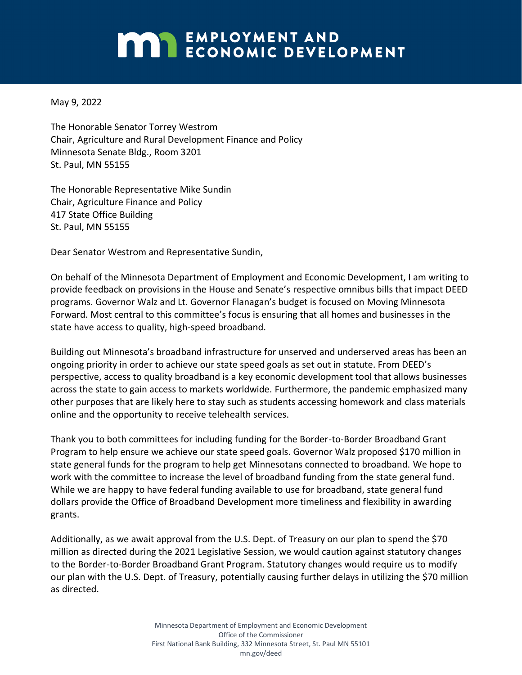## **MAN EMPLOYMENT AND ECONOMIC DEVELOPMENT**

May 9, 2022

The Honorable Senator Torrey Westrom Chair, Agriculture and Rural Development Finance and Policy Minnesota Senate Bldg., Room 3201 St. Paul, MN 55155

The Honorable Representative Mike Sundin Chair, Agriculture Finance and Policy 417 State Office Building St. Paul, MN 55155

Dear Senator Westrom and Representative Sundin,

On behalf of the Minnesota Department of Employment and Economic Development, I am writing to provide feedback on provisions in the House and Senate's respective omnibus bills that impact DEED programs. Governor Walz and Lt. Governor Flanagan's budget is focused on Moving Minnesota Forward. Most central to this committee's focus is ensuring that all homes and businesses in the state have access to quality, high-speed broadband.

Building out Minnesota's broadband infrastructure for unserved and underserved areas has been an ongoing priority in order to achieve our state speed goals as set out in statute. From DEED's perspective, access to quality broadband is a key economic development tool that allows businesses across the state to gain access to markets worldwide. Furthermore, the pandemic emphasized many other purposes that are likely here to stay such as students accessing homework and class materials online and the opportunity to receive telehealth services.

Thank you to both committees for including funding for the Border-to-Border Broadband Grant Program to help ensure we achieve our state speed goals. Governor Walz proposed \$170 million in state general funds for the program to help get Minnesotans connected to broadband. We hope to work with the committee to increase the level of broadband funding from the state general fund. While we are happy to have federal funding available to use for broadband, state general fund dollars provide the Office of Broadband Development more timeliness and flexibility in awarding grants.

Additionally, as we await approval from the U.S. Dept. of Treasury on our plan to spend the \$70 million as directed during the 2021 Legislative Session, we would caution against statutory changes to the Border-to-Border Broadband Grant Program. Statutory changes would require us to modify our plan with the U.S. Dept. of Treasury, potentially causing further delays in utilizing the \$70 million as directed.